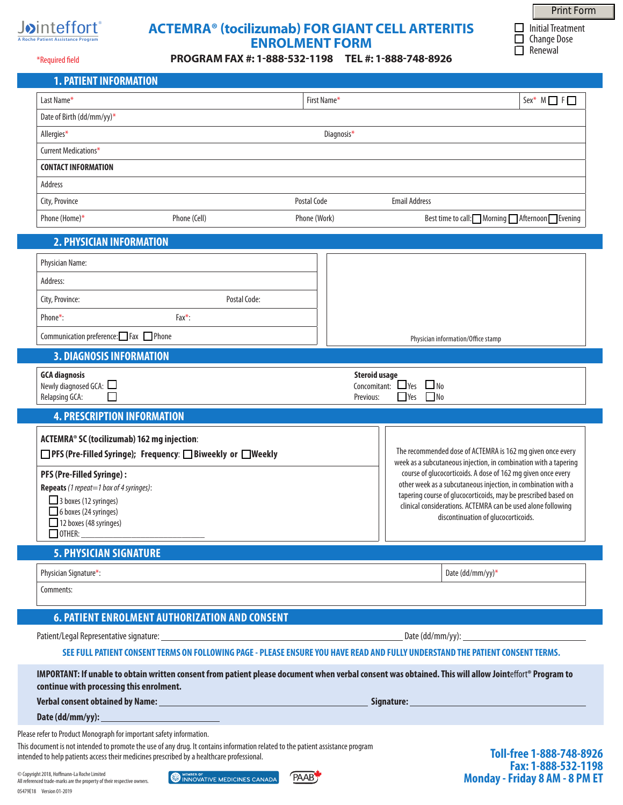

# **ACTEMRA® (tocilizumab) FOR GIANT CELL ARTERITIS ENROLMENT FORM**

**PROGRAM FAX #: 1-888-532-1198 TEL #: 1-888-748-8926**

 $\Box$  Initial Treatment  $\Box$  Change Dose  $\Box$  Renewal Print Form

**Fax: 1-888-532-1198**

**Monday - Friday 8 AM - 8 PM ET**

\*Required field

**1. PATIENT INFORMATION**

| Last Name*                                                                                                                                                                                                              |                                                               |              | $Sex^* M \fbox{ F}$                                                                                                                                                                                                                                                                                                                                                                                                                      |
|-------------------------------------------------------------------------------------------------------------------------------------------------------------------------------------------------------------------------|---------------------------------------------------------------|--------------|------------------------------------------------------------------------------------------------------------------------------------------------------------------------------------------------------------------------------------------------------------------------------------------------------------------------------------------------------------------------------------------------------------------------------------------|
| Date of Birth (dd/mm/yy)*                                                                                                                                                                                               |                                                               |              |                                                                                                                                                                                                                                                                                                                                                                                                                                          |
| Allergies*                                                                                                                                                                                                              |                                                               | Diagnosis*   |                                                                                                                                                                                                                                                                                                                                                                                                                                          |
| Current Medications*                                                                                                                                                                                                    |                                                               |              |                                                                                                                                                                                                                                                                                                                                                                                                                                          |
| <b>CONTACT INFORMATION</b>                                                                                                                                                                                              |                                                               |              |                                                                                                                                                                                                                                                                                                                                                                                                                                          |
| Address                                                                                                                                                                                                                 |                                                               |              |                                                                                                                                                                                                                                                                                                                                                                                                                                          |
| City, Province                                                                                                                                                                                                          |                                                               | Postal Code  | <b>Email Address</b>                                                                                                                                                                                                                                                                                                                                                                                                                     |
| Phone (Home)*                                                                                                                                                                                                           | Phone (Cell)                                                  | Phone (Work) | Best time to call: Morning Afternoon Evening                                                                                                                                                                                                                                                                                                                                                                                             |
| <b>2. PHYSICIAN INFORMATION</b>                                                                                                                                                                                         |                                                               |              |                                                                                                                                                                                                                                                                                                                                                                                                                                          |
| Physician Name:                                                                                                                                                                                                         |                                                               |              |                                                                                                                                                                                                                                                                                                                                                                                                                                          |
| Address:                                                                                                                                                                                                                |                                                               |              |                                                                                                                                                                                                                                                                                                                                                                                                                                          |
| City, Province:                                                                                                                                                                                                         | Postal Code:                                                  |              |                                                                                                                                                                                                                                                                                                                                                                                                                                          |
| Phone*:                                                                                                                                                                                                                 | $Fax^*$ :                                                     |              |                                                                                                                                                                                                                                                                                                                                                                                                                                          |
| Communication preference: Fax Phone                                                                                                                                                                                     |                                                               |              | Physician information/Office stamp                                                                                                                                                                                                                                                                                                                                                                                                       |
| <b>3. DIAGNOSIS INFORMATION</b>                                                                                                                                                                                         |                                                               |              |                                                                                                                                                                                                                                                                                                                                                                                                                                          |
| <b>GCA diagnosis</b>                                                                                                                                                                                                    |                                                               |              | <b>Steroid usage</b>                                                                                                                                                                                                                                                                                                                                                                                                                     |
| Newly diagnosed GCA: $\square$                                                                                                                                                                                          |                                                               |              | $\Box$ Yes<br>Concomitant:<br>$\Box$ No                                                                                                                                                                                                                                                                                                                                                                                                  |
| Relapsing GCA:<br>П                                                                                                                                                                                                     |                                                               |              | $\Box$ Yes<br>N <sub>0</sub><br>Previous:                                                                                                                                                                                                                                                                                                                                                                                                |
|                                                                                                                                                                                                                         |                                                               |              |                                                                                                                                                                                                                                                                                                                                                                                                                                          |
| <b>4. PRESCRIPTION INFORMATION</b>                                                                                                                                                                                      |                                                               |              |                                                                                                                                                                                                                                                                                                                                                                                                                                          |
| ACTEMRA® SC (tocilizumab) 162 mg injection:<br>PFS (Pre-Filled Syringe):<br><b>Repeats</b> (1 repeat=1 box of 4 syringes):<br>3 boxes (12 syringes)<br>6 boxes (24 syringes)<br>12 boxes (48 syringes)<br>$\Box$ OTHER: | □ PFS (Pre-Filled Syringe); Frequency: □ Biweekly or □ Weekly |              | The recommended dose of ACTEMRA is 162 mg given once every<br>week as a subcutaneous injection, in combination with a tapering<br>course of glucocorticoids. A dose of 162 mg given once every<br>other week as a subcutaneous injection, in combination with a<br>tapering course of glucocorticoids, may be prescribed based on<br>clinical considerations. ACTEMRA can be used alone following<br>discontinuation of glucocorticoids. |
|                                                                                                                                                                                                                         |                                                               |              |                                                                                                                                                                                                                                                                                                                                                                                                                                          |
| <b>5. PHYSICIAN SIGNATURE</b>                                                                                                                                                                                           |                                                               |              |                                                                                                                                                                                                                                                                                                                                                                                                                                          |
| Physician Signature*:<br>Comments:                                                                                                                                                                                      |                                                               |              | Date (dd/mm/yy)*                                                                                                                                                                                                                                                                                                                                                                                                                         |
|                                                                                                                                                                                                                         |                                                               |              |                                                                                                                                                                                                                                                                                                                                                                                                                                          |
|                                                                                                                                                                                                                         | <b>6. PATIENT ENROLMENT AUTHORIZATION AND CONSENT</b>         |              |                                                                                                                                                                                                                                                                                                                                                                                                                                          |
|                                                                                                                                                                                                                         |                                                               |              | SEE FULL PATIENT CONSENT TERMS ON FOLLOWING PAGE - PLEASE ENSURE YOU HAVE READ AND FULLY UNDERSTAND THE PATIENT CONSENT TERMS.                                                                                                                                                                                                                                                                                                           |
|                                                                                                                                                                                                                         |                                                               |              | IMPORTANT: If unable to obtain written consent from patient please document when verbal consent was obtained. This will allow Jointeffort® Program to                                                                                                                                                                                                                                                                                    |
| continue with processing this enrolment.                                                                                                                                                                                |                                                               |              |                                                                                                                                                                                                                                                                                                                                                                                                                                          |